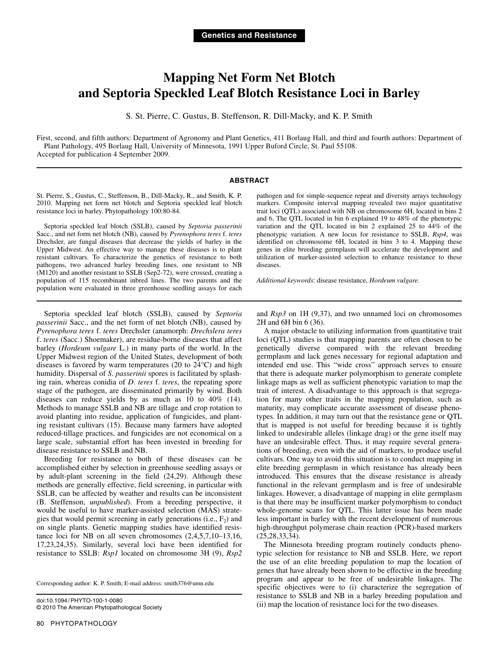# **Mapping Net Form Net Blotch and Septoria Speckled Leaf Blotch Resistance Loci in Barley**

S. St. Pierre, C. Gustus, B. Steffenson, R. Dill-Macky, and K. P. Smith

First, second, and fifth authors: Department of Agronomy and Plant Genetics, 411 Borlaug Hall, and third and fourth authors: Department of Plant Pathology, 495 Borlaug Hall, University of Minnesota, 1991 Upper Buford Circle, St. Paul 55108. Accepted for publication 4 September 2009.

### **ABSTRACT**

St. Pierre, S., Gustus, C., Steffenson, B., Dill-Macky, R., and Smith, K. P. 2010. Mapping net form net blotch and Septoria speckled leaf blotch resistance loci in barley. Phytopathology 100:80-84.

Septoria speckled leaf blotch (SSLB), caused by *Septoria passerinii*  Sacc*.*, and net form net blotch (NB), caused by *Pyrenophora teres* f. *teres* Drechsler, are fungal diseases that decrease the yields of barley in the Upper Midwest. An effective way to manage these diseases is to plant resistant cultivars. To characterize the genetics of resistance to both pathogens, two advanced barley breeding lines, one resistant to NB (M120) and another resistant to SSLB (Sep2-72), were crossed, creating a population of 115 recombinant inbred lines. The two parents and the population were evaluated in three greenhouse seedling assays for each pathogen and for simple-sequence repeat and diversity arrays technology markers. Composite interval mapping revealed two major quantitative trait loci (QTL) associated with NB on chromosome 6H, located in bins 2 and 6. The QTL located in bin 6 explained 19 to 48% of the phenotypic variation and the QTL located in bin 2 explained 25 to 44% of the phenotypic variation. A new locus for resistance to SSLB, *Rsp4*, was identified on chromosome 6H, located in bins 3 to 4. Mapping these genes in elite breeding germplasm will accelerate the development and utilization of marker-assisted selection to enhance resistance to these diseases.

*Additional keywords*: disease resistance, *Hordeum vulgare*.

Septoria speckled leaf blotch (SSLB), caused by *Septoria passerinii* Sacc., and the net form of net blotch (NB), caused by *Pyrenophora teres* f. *teres* Drechsler (anamorph: *Drechslera teres* f. *teres* (Sacc.) Shoemaker), are residue-borne diseases that affect barley (*Hordeum vulgare* L.) in many parts of the world. In the Upper Midwest region of the United States, development of both diseases is favored by warm temperatures (20 to 24°C) and high humidity. Dispersal of *S*. *passerinii* spores is facilitated by splashing rain, whereas conidia of *D*. *teres* f. *teres*, the repeating spore stage of the pathogen, are disseminated primarily by wind. Both diseases can reduce yields by as much as 10 to 40% (14). Methods to manage SSLB and NB are tillage and crop rotation to avoid planting into residue, application of fungicides, and planting resistant cultivars (15). Because many farmers have adopted reduced-tillage practices, and fungicides are not economical on a large scale, substantial effort has been invested in breeding for disease resistance to SSLB and NB.

Breeding for resistance to both of these diseases can be accomplished either by selection in greenhouse seedling assays or by adult-plant screening in the field (24,29). Although these methods are generally effective, field screening, in particular with SSLB, can be affected by weather and results can be inconsistent (B. Steffenson, *unpublished*). From a breeding perspective, it would be useful to have marker-assisted selection (MAS) strategies that would permit screening in early generations (i.e.,  $F_2$ ) and on single plants. Genetic mapping studies have identified resistance loci for NB on all seven chromosomes (2,4,5,7,10–13,16, 17,23,24,35). Similarly, several loci have been identified for resistance to SSLB: *Rsp1* located on chromosome 3H (9), *Rsp2*

Corresponding author: K. P. Smith; E-mail address: smith376@umn.edu

doi:10.1094/ PHYTO-100-1-0080 © 2010 The American Phytopathological Society and *Rsp3* on 1H (9,37), and two unnamed loci on chromosomes 2H and 6H bin 6 (36).

A major obstacle to utilizing information from quantitative trait loci (QTL) studies is that mapping parents are often chosen to be genetically diverse compared with the relevant breeding germplasm and lack genes necessary for regional adaptation and intended end use. This "wide cross" approach serves to ensure that there is adequate marker polymorphism to generate complete linkage maps as well as sufficient phenotypic variation to map the trait of interest. A disadvantage to this approach is that segregation for many other traits in the mapping population, such as maturity, may complicate accurate assessment of disease phenotypes. In addition, it may turn out that the resistance gene or QTL that is mapped is not useful for breeding because it is tightly linked to undesirable alleles (linkage drag) or the gene itself may have an undesirable effect. Thus, it may require several generations of breeding, even with the aid of markers, to produce useful cultivars. One way to avoid this situation is to conduct mapping in elite breeding germplasm in which resistance has already been introduced. This ensures that the disease resistance is already functional in the relevant germplasm and is free of undesirable linkages. However, a disadvantage of mapping in elite germplasm is that there may be insufficient marker polymorphism to conduct whole-genome scans for QTL. This latter issue has been made less important in barley with the recent development of numerous high-throughput polymerase chain reaction (PCR)-based markers (25,28,33,34).

The Minnesota breeding program routinely conducts phenotypic selection for resistance to NB and SSLB. Here, we report the use of an elite breeding population to map the location of genes that have already been shown to be effective in the breeding program and appear to be free of undesirable linkages. The specific objectives were to (i) characterize the segregation of resistance to SSLB and NB in a barley breeding population and (ii) map the location of resistance loci for the two diseases.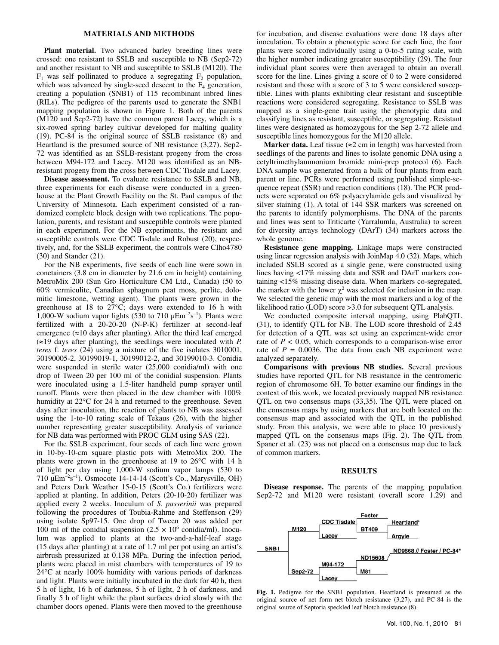## **MATERIALS AND METHODS**

**Plant material.** Two advanced barley breeding lines were crossed: one resistant to SSLB and susceptible to NB (Sep2-72) and another resistant to NB and susceptible to SSLB (M120). The  $F_1$  was self pollinated to produce a segregating  $F_2$  population, which was advanced by single-seed descent to the  $F_4$  generation, creating a population (SNB1) of 115 recombinant inbred lines (RILs). The pedigree of the parents used to generate the SNB1 mapping population is shown in Figure 1. Both of the parents (M120 and Sep2-72) have the common parent Lacey, which is a six-rowed spring barley cultivar developed for malting quality (19). PC-84 is the original source of SSLB resistance (8) and Heartland is the presumed source of NB resistance (3,27). Sep2- 72 was identified as an SSLB-resistant progeny from the cross between M94-172 and Lacey. M120 was identified as an NBresistant progeny from the cross between CDC Tisdale and Lacey.

**Disease assessment.** To evaluate resistance to SSLB and NB, three experiments for each disease were conducted in a greenhouse at the Plant Growth Facility on the St. Paul campus of the University of Minnesota. Each experiment consisted of a randomized complete block design with two replications. The population, parents, and resistant and susceptible controls were planted in each experiment. For the NB experiments, the resistant and susceptible controls were CDC Tisdale and Robust (20), respectively, and, for the SSLB experiment, the controls were CIho4780 (30) and Stander (21).

For the NB experiments, five seeds of each line were sown in conetainers (3.8 cm in diameter by 21.6 cm in height) containing MetroMix 200 (Sun Gro Horticulture CM Ltd., Canada) (50 to 60% vermiculite, Canadian sphagnum peat moss, perlite, dolomitic limestone, wetting agent). The plants were grown in the greenhouse at 18 to 27°C; days were extended to 16 h with 1,000-W sodium vapor lights (530 to 710  $\mu$ Em<sup>-2</sup>s<sup>-1</sup>). Plants were fertilized with a 20-20-20 (N-P-K) fertilizer at second-leaf emergence  $(\approx 10 \text{ days after planning})$ . After the third leaf emerged  $(\approx 19)$  days after planting), the seedlings were inoculated with *P*. *teres* f. *teres* (24) using a mixture of the five isolates 3010001, 30190005-2, 30199019-1, 30199012-2, and 30199010-3. Conidia were suspended in sterile water (25,000 conidia/ml) with one drop of Tween 20 per 100 ml of the conidial suspension. Plants were inoculated using a 1.5-liter handheld pump sprayer until runoff. Plants were then placed in the dew chamber with 100% humidity at 22°C for 24 h and returned to the greenhouse. Seven days after inoculation, the reaction of plants to NB was assessed using the 1-to-10 rating scale of Tekaus (26), with the higher number representing greater susceptibility. Analysis of variance for NB data was performed with PROC GLM using SAS (22).

For the SSLB experiment, four seeds of each line were grown in 10-by-10-cm square plastic pots with MetroMix 200. The plants were grown in the greenhouse at 19 to 26°C with 14 h of light per day using 1,000-W sodium vapor lamps (530 to 710  $\mu$ Em<sup>-2</sup>s<sup>-1</sup>). Osmocote 14-14-14 (Scott's Co., Marysville, OH) and Peters Dark Weather 15-0-15 (Scott's Co.) fertilizers were applied at planting. In addition, Peters (20-10-20) fertilizer was applied every 2 weeks. Inoculum of *S. passerinii* was prepared following the procedures of Toubia-Rahme and Steffenson (29) using isolate Sp97-15. One drop of Tween 20 was added per 100 ml of the conidial suspension  $(2.5 \times 10^6 \text{ conidi } \text{cm})$ . Inoculum was applied to plants at the two-and-a-half-leaf stage (15 days after planting) at a rate of 1.7 ml per pot using an artist's airbrush pressurized at 0.138 MPa. During the infection period, plants were placed in mist chambers with temperatures of 19 to 24°C at nearly 100% humidity with various periods of darkness and light. Plants were initially incubated in the dark for 40 h, then 5 h of light, 16 h of darkness, 5 h of light, 2 h of darkness, and finally 5 h of light while the plant surfaces dried slowly with the chamber doors opened. Plants were then moved to the greenhouse

for incubation, and disease evaluations were done 18 days after inoculation. To obtain a phenotypic score for each line, the four plants were scored individually using a 0-to-5 rating scale, with the higher number indicating greater susceptibility (29). The four individual plant scores were then averaged to obtain an overall score for the line. Lines giving a score of 0 to 2 were considered resistant and those with a score of 3 to 5 were considered susceptible. Lines with plants exhibiting clear resistant and susceptible reactions were considered segregating. Resistance to SSLB was mapped as a single-gene trait using the phenotypic data and classifying lines as resistant, susceptible, or segregating. Resistant lines were designated as homozygous for the Sep 2-72 allele and susceptible lines homozygous for the M120 allele.

**Marker data.** Leaf tissue ( $\approx$ 2 cm in length) was harvested from seedlings of the parents and lines to isolate genomic DNA using a cetyltrimethylammonium bromide mini-prep protocol (6). Each DNA sample was generated from a bulk of four plants from each parent or line. PCRs were performed using published simple-sequence repeat (SSR) and reaction conditions (18). The PCR products were separated on 6% polyacrylamide gels and visualized by silver staining (1). A total of 144 SSR markers was screened on the parents to identify polymorphisms. The DNA of the parents and lines was sent to Triticarte (Yarralumla, Australia) to screen for diversity arrays technology (DArT) (34) markers across the whole genome.

**Resistance gene mapping.** Linkage maps were constructed using linear regression analysis with JoinMap 4.0 (32). Maps, which included SSLB scored as a single gene, were constructed using lines having <17% missing data and SSR and DArT markers containing <15% missing disease data. When markers co-segregated, the marker with the lower  $\chi^2$  was selected for inclusion in the map. We selected the genetic map with the most markers and a log of the likelihood ratio (LOD) score >3.0 for subsequent QTL analysis.

We conducted composite interval mapping, using PlabQTL (31), to identify QTL for NB. The LOD score threshold of 2.45 for detection of a QTL was set using an experiment-wide error rate of  $P < 0.05$ , which corresponds to a comparison-wise error rate of  $P = 0.0036$ . The data from each NB experiment were analyzed separately.

**Comparisons with previous NB studies.** Several previous studies have reported QTL for NB resistance in the centromeric region of chromosome 6H. To better examine our findings in the context of this work, we located previously mapped NB resistance QTL on two consensus maps (33,35). The QTL were placed on the consensus maps by using markers that are both located on the consensus map and associated with the QTL in the published study. From this analysis, we were able to place 10 previously mapped QTL on the consensus maps (Fig. 2). The QTL from Spaner et al. (23) was not placed on a consensus map due to lack of common markers.

## **RESULTS**

**Disease response.** The parents of the mapping population Sep2-72 and M120 were resistant (overall score 1.29) and



**Fig. 1.** Pedigree for the SNB1 population. Heartland is presumed as the original source of net form net blotch resistance (3,27), and PC-84 is the original source of Septoria speckled leaf blotch resistance (8).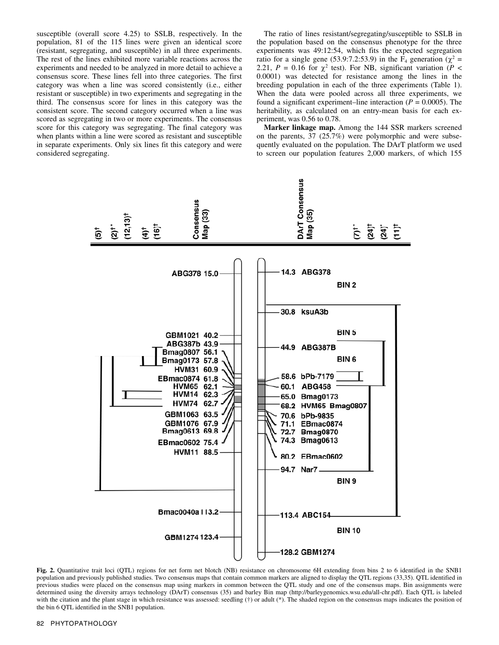susceptible (overall score 4.25) to SSLB, respectively. In the population, 81 of the 115 lines were given an identical score (resistant, segregating, and susceptible) in all three experiments. The rest of the lines exhibited more variable reactions across the experiments and needed to be analyzed in more detail to achieve a consensus score. These lines fell into three categories. The first category was when a line was scored consistently (i.e., either resistant or susceptible) in two experiments and segregating in the third. The consensus score for lines in this category was the consistent score. The second category occurred when a line was scored as segregating in two or more experiments. The consensus score for this category was segregating. The final category was when plants within a line were scored as resistant and susceptible in separate experiments. Only six lines fit this category and were considered segregating.

The ratio of lines resistant/segregating/susceptible to SSLB in the population based on the consensus phenotype for the three experiments was 49:12:54, which fits the expected segregation ratio for a single gene (53.9:7.2:53.9) in the F<sub>4</sub> generation ( $\chi^2$  = 2.21,  $P = 0.16$  for  $\chi^2$  test). For NB, significant variation ( $P <$ 0.0001) was detected for resistance among the lines in the breeding population in each of the three experiments (Table 1). When the data were pooled across all three experiments, we found a significant experiment–line interaction  $(P = 0.0005)$ . The heritability, as calculated on an entry-mean basis for each experiment, was 0.56 to 0.78.

**Marker linkage map.** Among the 144 SSR markers screened on the parents, 37 (25.7%) were polymorphic and were subsequently evaluated on the population. The DArT platform we used to screen our population features 2,000 markers, of which 155



**Fig. 2.** Quantitative trait loci (QTL) regions for net form net blotch (NB) resistance on chromosome 6H extending from bins 2 to 6 identified in the SNB1 population and previously published studies. Two consensus maps that contain common markers are aligned to display the QTL regions (33,35). QTL identified in previous studies were placed on the consensus map using markers in common between the QTL study and one of the consensus maps. Bin assignments were determined using the diversity arrays technology (DArT) consensus (35) and barley Bin map (http://barleygenomics.wsu.edu/all-chr.pdf). Each QTL is labeled with the citation and the plant stage in which resistance was assessed: seedling (†) or adult (\*). The shaded region on the consensus maps indicates the position of the bin 6 QTL identified in the SNB1 population.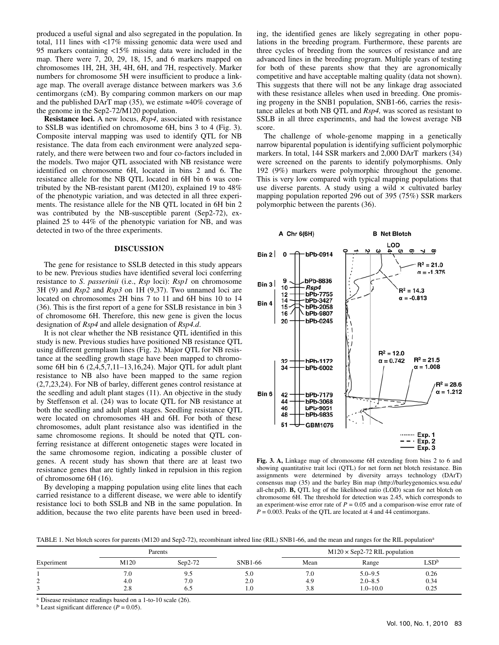produced a useful signal and also segregated in the population. In total, 111 lines with <17% missing genomic data were used and 95 markers containing <15% missing data were included in the map. There were 7, 20, 29, 18, 15, and 6 markers mapped on chromosomes 1H, 2H, 3H, 4H, 6H, and 7H, respectively. Marker numbers for chromosome 5H were insufficient to produce a linkage map. The overall average distance between markers was 3.6 centimorgans (cM). By comparing common markers on our map and the published DArT map (35), we estimate  $\approx 40\%$  coverage of the genome in the Sep2-72/M120 population.

**Resistance loci.** A new locus, *Rsp4*, associated with resistance to SSLB was identified on chromosome 6H, bins 3 to 4 (Fig. 3). Composite interval mapping was used to identify QTL for NB resistance. The data from each environment were analyzed separately, and there were between two and four co-factors included in the models. Two major QTL associated with NB resistance were identified on chromosome 6H, located in bins 2 and 6. The resistance allele for the NB QTL located in 6H bin 6 was contributed by the NB-resistant parent (M120), explained 19 to 48% of the phenotypic variation, and was detected in all three experiments. The resistance allele for the NB QTL located in 6H bin 2 was contributed by the NB-susceptible parent (Sep2-72), explained 25 to 44% of the phenotypic variation for NB, and was detected in two of the three experiments.

## **DISCUSSION**

The gene for resistance to SSLB detected in this study appears to be new. Previous studies have identified several loci conferring resistance to *S*. *passerinii* (i.e., *Rsp* loci): *Rsp1* on chromosome 3H (9) and *Rsp2* and *Rsp3* on 1H (9,37). Two unnamed loci are located on chromosomes 2H bins 7 to 11 and 6H bins 10 to 14 (36). This is the first report of a gene for SSLB resistance in bin 3 of chromosome 6H. Therefore, this new gene is given the locus designation of *Rsp4* and allele designation of *Rsp4.d*.

It is not clear whether the NB resistance QTL identified in this study is new. Previous studies have positioned NB resistance QTL using different germplasm lines (Fig. 2). Major QTL for NB resistance at the seedling growth stage have been mapped to chromosome 6H bin 6 (2,4,5,7,11–13,16,24). Major QTL for adult plant resistance to NB also have been mapped to the same region (2,7,23,24). For NB of barley, different genes control resistance at the seedling and adult plant stages (11). An objective in the study by Steffenson et al. (24) was to locate QTL for NB resistance at both the seedling and adult plant stages. Seedling resistance QTL were located on chromosomes 4H and 6H. For both of these chromosomes, adult plant resistance also was identified in the same chromosome regions. It should be noted that QTL conferring resistance at different ontogenetic stages were located in the same chromosome region, indicating a possible cluster of genes. A recent study has shown that there are at least two resistance genes that are tightly linked in repulsion in this region of chromosome 6H (16).

By developing a mapping population using elite lines that each carried resistance to a different disease, we were able to identify resistance loci to both SSLB and NB in the same population. In addition, because the two elite parents have been used in breeding, the identified genes are likely segregating in other populations in the breeding program. Furthermore, these parents are three cycles of breeding from the sources of resistance and are advanced lines in the breeding program. Multiple years of testing for both of these parents show that they are agronomically competitive and have acceptable malting quality (data not shown). This suggests that there will not be any linkage drag associated with these resistance alleles when used in breeding. One promising progeny in the SNB1 population, SNB1-66, carries the resistance alleles at both NB QTL and *Rsp4,* was scored as resistant to SSLB in all three experiments, and had the lowest average NB score.

The challenge of whole-genome mapping in a genetically narrow biparental population is identifying sufficient polymorphic markers. In total, 144 SSR markers and 2,000 DArT markers (34) were screened on the parents to identify polymorphisms. Only 192 (9%) markers were polymorphic throughout the genome. This is very low compared with typical mapping populations that use diverse parents. A study using a wild  $\times$  cultivated barley mapping population reported 296 out of 395 (75%) SSR markers polymorphic between the parents (36).



**Fig. 3. A,** Linkage map of chromosome 6H extending from bins 2 to 6 and showing quantitative trait loci (QTL) for net form net blotch resistance. Bin assignments were determined by diversity arrays technology (DArT) consensus map (35) and the barley Bin map (http://barleygenomics.wsu.edu/ all-chr.pdf). **B,** QTL log of the likelihood ratio (LOD) scan for net blotch on chromosome 6H. The threshold for detection was 2.45, which corresponds to an experiment-wise error rate of  $P = 0.05$  and a comparison-wise error rate of  $P = 0.003$ . Peaks of the QTL are located at 4 and 44 centimorgans.

TABLE 1. Net blotch scores for parents (M120 and Sep2-72), recombinant inbred line (RIL) SNB1-66, and the mean and ranges for the RIL population<sup>a</sup>

|            | Parents |           |         | $M120 \times$ Sep2-72 RIL population |              |                  |
|------------|---------|-----------|---------|--------------------------------------|--------------|------------------|
| Experiment | M120    | $Sen2-72$ | SNB1-66 | Mean                                 | Range        | LSD <sup>b</sup> |
|            | 7.0     | 9.5       | 5.0     | 7.0                                  | $5.0 - 9.5$  | 0.26             |
| ∼          | 4.0     | 7.0       | 2.0     | 4.9                                  | $2.0 - 8.5$  | 0.34             |
|            | 2.8     | 6.5       | 0.1     | 3.8                                  | $1.0 - 10.0$ | 0.25             |

<sup>a</sup> Disease resistance readings based on a 1-to-10 scale (26). b Least significant difference ( $P = 0.05$ ).